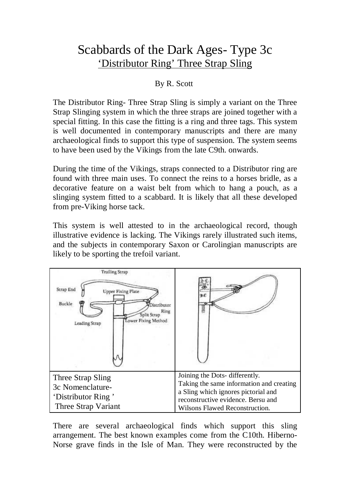## Scabbards of the Dark Ages- Type 3c 'Distributor Ring' Three Strap Sling

## By R. Scott

The Distributor Ring- Three Strap Sling is simply a variant on the Three Strap Slinging system in which the three straps are joined together with a special fitting. In this case the fitting is a ring and three tags. This system is well documented in contemporary manuscripts and there are many archaeological finds to support this type of suspension. The system seems to have been used by the Vikings from the late C9th. onwards.

During the time of the Vikings, straps connected to a Distributor ring are found with three main uses. To connect the reins to a horses bridle, as a decorative feature on a waist belt from which to hang a pouch, as a slinging system fitted to a scabbard. It is likely that all these developed from pre-Viking horse tack.

This system is well attested to in the archaeological record, though illustrative evidence is lacking. The Vikings rarely illustrated such items, and the subjects in contemporary Saxon or Carolingian manuscripts are likely to be sporting the trefoil variant.



There are several archaeological finds which support this sling arrangement. The best known examples come from the C10th. Hiberno-Norse grave finds in the Isle of Man. They were reconstructed by the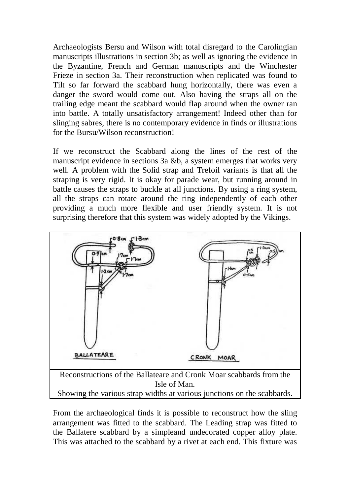Archaeologists Bersu and Wilson with total disregard to the Carolingian manuscripts illustrations in section 3b; as well as ignoring the evidence in the Byzantine, French and German manuscripts and the Winchester Frieze in section 3a. Their reconstruction when replicated was found to Tilt so far forward the scabbard hung horizontally, there was even a danger the sword would come out. Also having the straps all on the trailing edge meant the scabbard would flap around when the owner ran into battle. A totally unsatisfactory arrangement! Indeed other than for slinging sabres, there is no contemporary evidence in finds or illustrations for the Bursu/Wilson reconstruction!

If we reconstruct the Scabbard along the lines of the rest of the manuscript evidence in sections 3a &b, a system emerges that works very well. A problem with the Solid strap and Trefoil variants is that all the straping is very rigid. It is okay for parade wear, but running around in battle causes the straps to buckle at all junctions. By using a ring system, all the straps can rotate around the ring independently of each other providing a much more flexible and user friendly system. It is not surprising therefore that this system was widely adopted by the Vikings.



From the archaeological finds it is possible to reconstruct how the sling arrangement was fitted to the scabbard. The Leading strap was fitted to the Ballatere scabbard by a simpleand undecorated copper alloy plate. This was attached to the scabbard by a rivet at each end. This fixture was